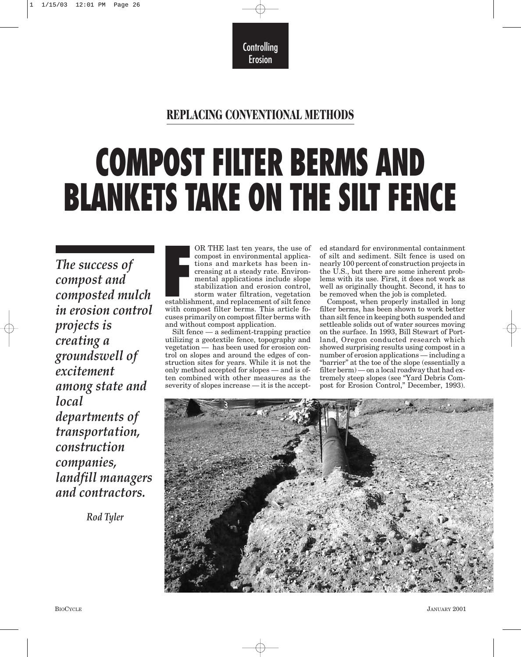**Controlling** Erosion

# **REPLACING CONVENTIONAL METHODS**

# **COMPOST FILTER BERMS AND BLANKETS TAKE ON THE SILT FENCE**

*The success of compost and composted mulch in erosion control projects is creating a groundswell of excitement among state and local departments of transportation, construction companies, landfill managers and contractors.*

*Rod Tyler*

**F** OR THE last ten years, the use of compost in environmental applications and markets has been increasing at a steady rate. Environmental applications include slope stabilization and erosion control, storm water filtration, vegetation establishment, and replacement of silt fence with compost filter berms. This article focuses primarily on compost filter berms with and without compost application.

Silt fence — a sediment-trapping practice utilizing a geotextile fence, topography and vegetation — has been used for erosion control on slopes and around the edges of construction sites for years. While it is not the only method accepted for slopes — and is often combined with other measures as the severity of slopes increase — it is the accepted standard for environmental containment of silt and sediment. Silt fence is used on nearly 100 percent of construction projects in the U.S., but there are some inherent problems with its use. First, it does not work as well as originally thought. Second, it has to be removed when the job is completed.

Compost, when properly installed in long filter berms, has been shown to work better than silt fence in keeping both suspended and settleable solids out of water sources moving on the surface. In 1993, Bill Stewart of Portland, Oregon conducted research which showed surprising results using compost in a number of erosion applications — including a "barrier" at the toe of the slope (essentially a filter berm) — on a local roadway that had extremely steep slopes (see "Yard Debris Compost for Erosion Control," December, 1993).

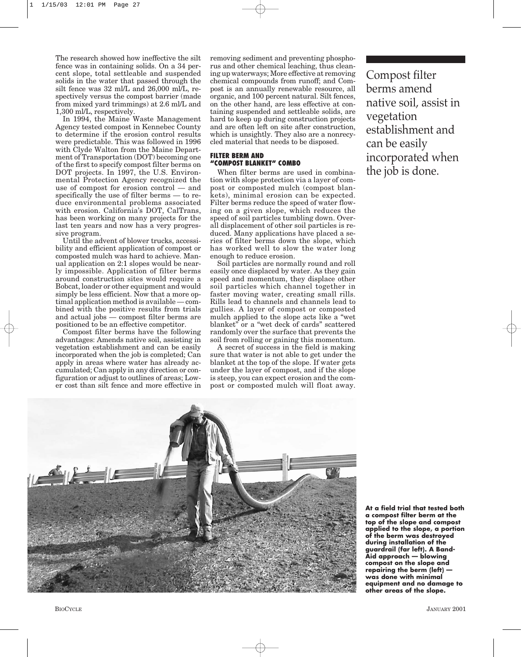The research showed how ineffective the silt fence was in containing solids. On a 34 percent slope, total settleable and suspended solids in the water that passed through the silt fence was 32 ml/L and 26,000 ml/L, respectively versus the compost barrier (made from mixed yard trimmings) at 2.6 ml/L and 1,300 ml/L, respectively.

In 1994, the Maine Waste Management Agency tested compost in Kennebec County to determine if the erosion control results were predictable. This was followed in 1996 with Clyde Walton from the Maine Department of Transportation (DOT) becoming one of the first to specify compost filter berms on DOT projects. In 1997, the U.S. Environmental Protection Agency recognized the use of compost for erosion control — and specifically the use of filter berms — to reduce environmental problems associated with erosion. California's DOT, CalTrans, has been working on many projects for the last ten years and now has a very progressive program.

Until the advent of blower trucks, accessibility and efficient application of compost or composted mulch was hard to achieve. Manual application on 2:1 slopes would be nearly impossible. Application of filter berms around construction sites would require a Bobcat, loader or other equipment and would simply be less efficient. Now that a more optimal application method is available — combined with the positive results from trials and actual jobs — compost filter berms are positioned to be an effective competitor.

Compost filter berms have the following advantages: Amends native soil, assisting in vegetation establishment and can be easily incorporated when the job is completed; Can apply in areas where water has already accumulated; Can apply in any direction or configuration or adjust to outlines of areas; Lower cost than silt fence and more effective in

removing sediment and preventing phosphorus and other chemical leaching, thus cleaning up waterways; More effective at removing chemical compounds from runoff; and Compost is an annually renewable resource, all organic, and 100 percent natural. Silt fences, on the other hand, are less effective at containing suspended and settleable solids, are hard to keep up during construction projects and are often left on site after construction, which is unsightly. They also are a nonrecycled material that needs to be disposed.

### **FILTER BERM AND "COMPOST BLANKET" COMBO**

When filter berms are used in combination with slope protection via a layer of compost or composted mulch (compost blankets), minimal erosion can be expected. Filter berms reduce the speed of water flowing on a given slope, which reduces the speed of soil particles tumbling down. Overall displacement of other soil particles is reduced. Many applications have placed a series of filter berms down the slope, which has worked well to slow the water long enough to reduce erosion.

Soil particles are normally round and roll easily once displaced by water. As they gain speed and momentum, they displace other soil particles which channel together in faster moving water, creating small rills. Rills lead to channels and channels lead to gullies. A layer of compost or composted mulch applied to the slope acts like a "wet blanket" or a "wet deck of cards" scattered randomly over the surface that prevents the soil from rolling or gaining this momentum.

A secret of success in the field is making sure that water is not able to get under the blanket at the top of the slope. If water gets under the layer of compost, and if the slope is steep, you can expect erosion and the compost or composted mulch will float away.

Compost filter berms amend native soil, assist in vegetation establishment and can be easily incorporated when the job is done.



**At a field trial that tested both a compost filter berm at the top of the slope and compost applied to the slope, a portion of the berm was destroyed during installation of the guardrail (far left). A Band-Aid approach — blowing compost on the slope and repairing the berm (left) was done with minimal equipment and no damage to other areas of the slope.**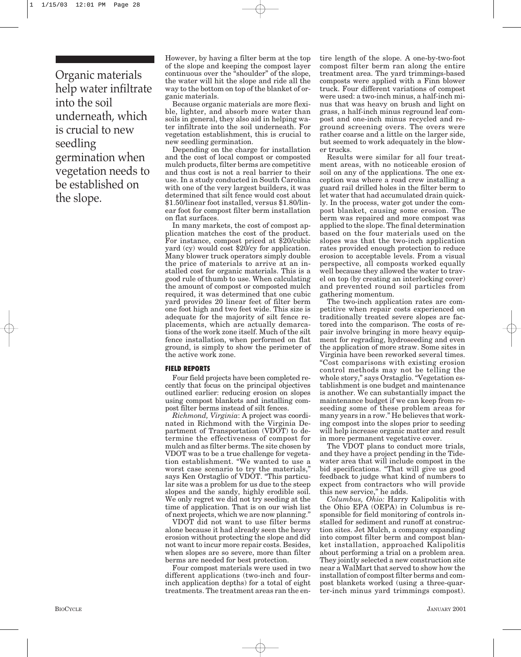Organic materials help water infiltrate into the soil underneath, which is crucial to new seedling germination when vegetation needs to be established on the slope.

However, by having a filter berm at the top of the slope and keeping the compost layer continuous over the "shoulder" of the slope, the water will hit the slope and ride all the way to the bottom on top of the blanket of organic materials.

Because organic materials are more flexible, lighter, and absorb more water than soils in general, they also aid in helping water infiltrate into the soil underneath. For vegetation establishment, this is crucial to new seedling germination.

Depending on the charge for installation and the cost of local compost or composted mulch products, filter berms are competitive and thus cost is not a real barrier to their use. In a study conducted in South Carolina with one of the very largest builders, it was determined that silt fence would cost about \$1.50/linear foot installed, versus \$1.80/linear foot for compost filter berm installation on flat surfaces.

In many markets, the cost of compost application matches the cost of the product. For instance, compost priced at \$20/cubic yard (cy) would cost \$20/cy for application. Many blower truck operators simply double the price of materials to arrive at an installed cost for organic materials. This is a good rule of thumb to use. When calculating the amount of compost or composted mulch required, it was determined that one cubic yard provides 20 linear feet of filter berm one foot high and two feet wide. This size is adequate for the majority of silt fence replacements, which are actually demarcations of the work zone itself. Much of the silt fence installation, when performed on flat ground, is simply to show the perimeter of the active work zone.

#### **FIELD REPORTS**

Four field projects have been completed recently that focus on the principal objectives outlined earlier: reducing erosion on slopes using compost blankets and installing compost filter berms instead of silt fences.

*Richmond, Virginia*: A project was coordinated in Richmond with the Virginia Department of Transportation (VDOT) to determine the effectiveness of compost for mulch and as filter berms. The site chosen by VDOT was to be a true challenge for vegetation establishment. "We wanted to use a worst case scenario to try the materials," says Ken Orstaglio of VDOT. "This particular site was a problem for us due to the steep slopes and the sandy, highly erodible soil. We only regret we did not try seeding at the time of application. That is on our wish list of next projects, which we are now planning."

VDOT did not want to use filter berms alone because it had already seen the heavy erosion without protecting the slope and did not want to incur more repair costs. Besides, when slopes are so severe, more than filter berms are needed for best protection.

Four compost materials were used in two different applications (two-inch and fourinch application depths) for a total of eight treatments. The treatment areas ran the en-

tire length of the slope. A one-by-two-foot compost filter berm ran along the entire treatment area. The yard trimmings-based composts were applied with a Finn blower truck. Four different variations of compost were used: a two-inch minus, a half-inch minus that was heavy on brush and light on grass, a half-inch minus reground leaf compost and one-inch minus recycled and reground screening overs. The overs were rather coarse and a little on the larger side, but seemed to work adequately in the blower trucks.

Results were similar for all four treatment areas, with no noticeable erosion of soil on any of the applications. The one exception was where a road crew installing a guard rail drilled holes in the filter berm to let water that had accumulated drain quickly. In the process, water got under the compost blanket, causing some erosion. The berm was repaired and more compost was applied to the slope. The final determination based on the four materials used on the slopes was that the two-inch application rates provided enough protection to reduce erosion to acceptable levels. From a visual perspective, all composts worked equally well because they allowed the water to travel on top (by creating an interlocking cover) and prevented round soil particles from gathering momentum.

The two-inch application rates are competitive when repair costs experienced on traditionally treated severe slopes are factored into the comparison. The costs of repair involve bringing in more heavy equipment for regrading, hydroseeding and even the application of more straw. Some sites in Virginia have been reworked several times. "Cost comparisons with existing erosion control methods may not be telling the whole story," says Orstaglio. "Vegetation establishment is one budget and maintenance is another. We can substantially impact the maintenance budget if we can keep from reseeding some of these problem areas for many years in a row." He believes that working compost into the slopes prior to seeding will help increase organic matter and result in more permanent vegetative cover.

The VDOT plans to conduct more trials, and they have a project pending in the Tidewater area that will include compost in the bid specifications. "That will give us good feedback to judge what kind of numbers to expect from contractors who will provide this new service," he adds.

*Columbus, Ohio:* Harry Kalipolitis with the Ohio EPA (OEPA) in Columbus is responsible for field monitoring of controls installed for sediment and runoff at construction sites. Jet Mulch, a company expanding into compost filter berm and compost blanket installation, approached Kalipolitis about performing a trial on a problem area. They jointly selected a new construction site near a WalMart that served to show how the installation of compost filter berms and compost blankets worked (using a three-quarter-inch minus yard trimmings compost).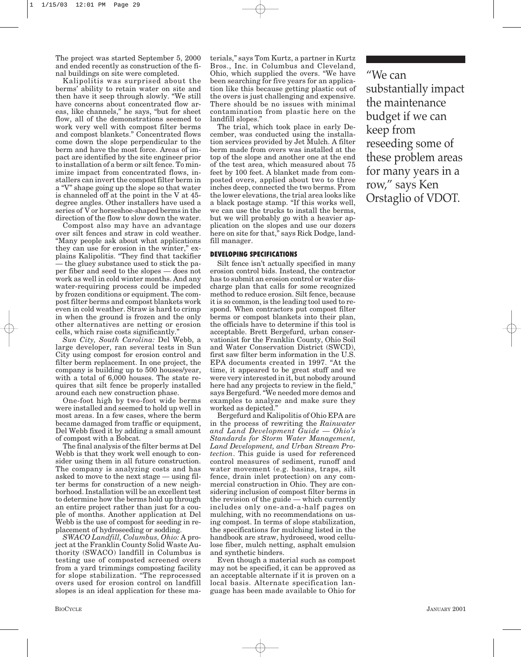The project was started September 5, 2000 and ended recently as construction of the final buildings on site were completed.

Kalipolitis was surprised about the berms' ability to retain water on site and then have it seep through slowly. "We still have concerns about concentrated flow areas, like channels," he says, "but for sheet flow, all of the demonstrations seemed to work very well with compost filter berms and compost blankets." Concentrated flows come down the slope perpendicular to the berm and have the most force. Areas of impact are identified by the site engineer prior to installation of a berm or silt fence. To minimize impact from concentrated flows, installers can invert the compost filter berm in a "V" shape going up the slope so that water is channeled off at the point in the V at 45 degree angles. Other installers have used a series of V or horseshoe-shaped berms in the direction of the flow to slow down the water.

Compost also may have an advantage over silt fences and straw in cold weather. "Many people ask about what applications they can use for erosion in the winter," explains Kalipolitis. "They find that tackifier — the gluey substance used to stick the paper fiber and seed to the slopes — does not work as well in cold winter months. And any water-requiring process could be impeded by frozen conditions or equipment. The compost filter berms and compost blankets work even in cold weather. Straw is hard to crimp in when the ground is frozen and the only other alternatives are netting or erosion cells, which raise costs significantly."

*Sun City, South Carolina:* Del Webb, a large developer, ran several tests in Sun City using compost for erosion control and filter berm replacement. In one project, the company is building up to 500 houses/year, with a total of 6,000 houses. The state requires that silt fence be properly installed around each new construction phase.

One-foot high by two-foot wide berms were installed and seemed to hold up well in most areas. In a few cases, where the berm became damaged from traffic or equipment, Del Webb fixed it by adding a small amount of compost with a Bobcat.

The final analysis of the filter berms at Del Webb is that they work well enough to consider using them in all future construction. The company is analyzing costs and has asked to move to the next stage — using filter berms for construction of a new neighborhood. Installation will be an excellent test to determine how the berms hold up through an entire project rather than just for a couple of months. Another application at Del Webb is the use of compost for seeding in replacement of hydroseeding or sodding.

*SWACO Landfill, Columbus, Ohio:* A project at the Franklin County Solid Waste Authority (SWACO) landfill in Columbus is testing use of composted screened overs from a yard trimmings composting facility for slope stabilization. "The reprocessed overs used for erosion control on landfill slopes is an ideal application for these ma-

terials," says Tom Kurtz, a partner in Kurtz Bros., Inc. in Columbus and Cleveland, Ohio, which supplied the overs. "We have been searching for five years for an application like this because getting plastic out of the overs is just challenging and expensive. There should be no issues with minimal contamination from plastic here on the landfill slopes."

The trial, which took place in early December, was conducted using the installation services provided by Jet Mulch. A filter berm made from overs was installed at the top of the slope and another one at the end of the test area, which measured about 75 feet by 100 feet. A blanket made from composted overs, applied about two to three inches deep, connected the two berms. From the lower elevations, the trial area looks like a black postage stamp. "If this works well, we can use the trucks to install the berms, but we will probably go with a heavier application on the slopes and use our dozers here on site for that," says Rick Dodge, landfill manager.

#### **DEVELOPING SPECIFICATIONS**

Silt fence isn't actually specified in many erosion control bids. Instead, the contractor has to submit an erosion control or water discharge plan that calls for some recognized method to reduce erosion. Silt fence, because it is so common, is the leading tool used to respond. When contractors put compost filter berms or compost blankets into their plan, the officials have to determine if this tool is acceptable. Brett Bergefurd, urban conservationist for the Franklin County, Ohio Soil and Water Conservation District (SWCD), first saw filter berm information in the U.S. EPA documents created in 1997. "At the time, it appeared to be great stuff and we were very interested in it, but nobody around here had any projects to review in the field," says Bergefurd. "We needed more demos and examples to analyze and make sure they worked as depicted."

Bergefurd and Kalipolitis of Ohio EPA are in the process of rewriting the *Rainwater and Land Development Guide — Ohio's Standards for Storm Water Management, Land Development, and Urban Stream Protection*. This guide is used for referenced control measures of sediment, runoff and water movement (e.g. basins, traps, silt fence, drain inlet protection) on any commercial construction in Ohio. They are considering inclusion of compost filter berms in the revision of the guide — which currently includes only one-and-a-half pages on mulching, with no recommendations on using compost. In terms of slope stabilization, the specifications for mulching listed in the handbook are straw, hydroseed, wood cellulose fiber, mulch netting, asphalt emulsion and synthetic binders.

Even though a material such as compost may not be specified, it can be approved as an acceptable alternate if it is proven on a local basis. Alternate specification language has been made available to Ohio for

"We can substantially impact the maintenance budget if we can keep from reseeding some of these problem areas for many years in a row," says Ken Orstaglio of VDOT.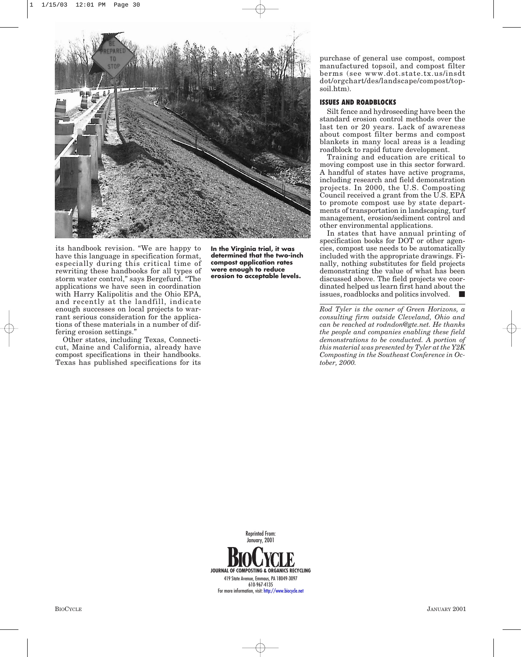

its handbook revision. "We are happy to have this language in specification format, especially during this critical time of rewriting these handbooks for all types of storm water control," says Bergefurd. "The applications we have seen in coordination with Harry Kalipolitis and the Ohio EPA, and recently at the landfill, indicate enough successes on local projects to warrant serious consideration for the applications of these materials in a number of differing erosion settings."

Other states, including Texas, Connecticut, Maine and California, already have compost specifications in their handbooks. Texas has published specifications for its **In the Virginia trial, it was determined that the two-inch compost application rates were enough to reduce erosion to acceptable levels.**

purchase of general use compost, compost manufactured topsoil, and compost filter berms (see www.dot.state.tx.us/insdt dot/orgchart/des/landscape/compost/topsoil.htm).

## **ISSUES AND ROADBLOCKS**

Silt fence and hydroseeding have been the standard erosion control methods over the last ten or 20 years. Lack of awareness about compost filter berms and compost blankets in many local areas is a leading roadblock to rapid future development.

Training and education are critical to moving compost use in this sector forward. A handful of states have active programs, including research and field demonstration projects. In 2000, the U.S. Composting Council received a grant from the U.S. EPA to promote compost use by state departments of transportation in landscaping, turf management, erosion/sediment control and other environmental applications.

In states that have annual printing of specification books for DOT or other agencies, compost use needs to be automatically included with the appropriate drawings. Finally, nothing substitutes for field projects demonstrating the value of what has been discussed above. The field projects we coordinated helped us learn first hand about the issues, roadblocks and politics involved.

*Rod Tyler is the owner of Green Horizons, a consulting firm outside Cleveland, Ohio and can be reached at rodndon@gte.net. He thanks the people and companies enabling these field demonstrations to be conducted. A portion of this material was presented by Tyler at the Y2K Composting in the Southeast Conference in October, 2000.* 

**JOURNAL OF COMPOSTING & ORGANICS RECYCLING** 419 State Avenue, Emmaus, PA 18049-3097 610-967-4135 For more information, visit:<http://www.biocycle.net> Reprinted From: January, 2001